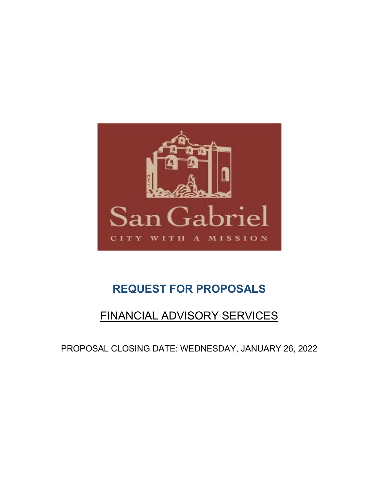

# REQUEST FOR PROPOSALS

# FINANCIAL ADVISORY SERVICES

PROPOSAL CLOSING DATE: WEDNESDAY, JANUARY 26, 2022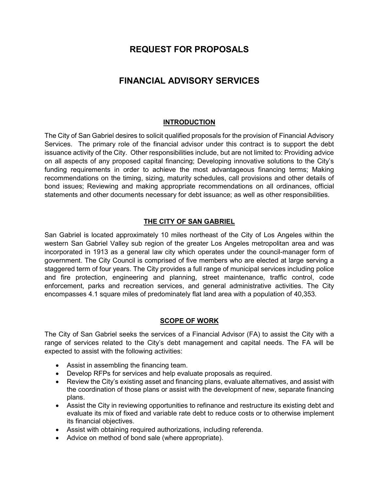# REQUEST FOR PROPOSALS

# FINANCIAL ADVISORY SERVICES

# **INTRODUCTION**

The City of San Gabriel desires to solicit qualified proposals for the provision of Financial Advisory Services. The primary role of the financial advisor under this contract is to support the debt issuance activity of the City. Other responsibilities include, but are not limited to: Providing advice on all aspects of any proposed capital financing; Developing innovative solutions to the City's funding requirements in order to achieve the most advantageous financing terms; Making recommendations on the timing, sizing, maturity schedules, call provisions and other details of bond issues; Reviewing and making appropriate recommendations on all ordinances, official statements and other documents necessary for debt issuance; as well as other responsibilities.

### THE CITY OF SAN GABRIEL

San Gabriel is located approximately 10 miles northeast of the City of Los Angeles within the western San Gabriel Valley sub region of the greater Los Angeles metropolitan area and was incorporated in 1913 as a general law city which operates under the council-manager form of government. The City Council is comprised of five members who are elected at large serving a staggered term of four years. The City provides a full range of municipal services including police and fire protection, engineering and planning, street maintenance, traffic control, code enforcement, parks and recreation services, and general administrative activities. The City encompasses 4.1 square miles of predominately flat land area with a population of 40,353.

#### SCOPE OF WORK

The City of San Gabriel seeks the services of a Financial Advisor (FA) to assist the City with a range of services related to the City's debt management and capital needs. The FA will be expected to assist with the following activities:

- Assist in assembling the financing team.
- Develop RFPs for services and help evaluate proposals as required.
- Review the City's existing asset and financing plans, evaluate alternatives, and assist with the coordination of those plans or assist with the development of new, separate financing plans.
- Assist the City in reviewing opportunities to refinance and restructure its existing debt and evaluate its mix of fixed and variable rate debt to reduce costs or to otherwise implement its financial objectives.
- Assist with obtaining required authorizations, including referenda.
- Advice on method of bond sale (where appropriate).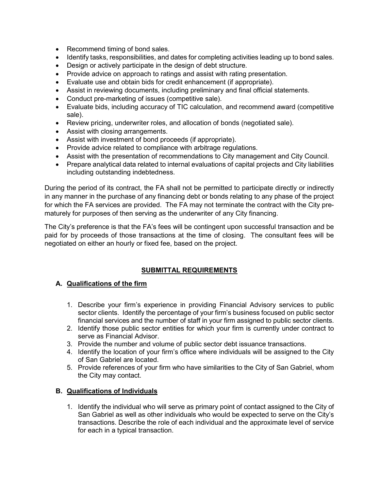- Recommend timing of bond sales.
- Identify tasks, responsibilities, and dates for completing activities leading up to bond sales.
- Design or actively participate in the design of debt structure.
- Provide advice on approach to ratings and assist with rating presentation.
- Evaluate use and obtain bids for credit enhancement (if appropriate).
- Assist in reviewing documents, including preliminary and final official statements.
- Conduct pre-marketing of issues (competitive sale).
- Evaluate bids, including accuracy of TIC calculation, and recommend award (competitive sale).
- Review pricing, underwriter roles, and allocation of bonds (negotiated sale).
- Assist with closing arrangements.
- Assist with investment of bond proceeds (if appropriate).
- Provide advice related to compliance with arbitrage regulations.
- Assist with the presentation of recommendations to City management and City Council.
- Prepare analytical data related to internal evaluations of capital projects and City liabilities including outstanding indebtedness.

During the period of its contract, the FA shall not be permitted to participate directly or indirectly in any manner in the purchase of any financing debt or bonds relating to any phase of the project for which the FA services are provided. The FA may not terminate the contract with the City prematurely for purposes of then serving as the underwriter of any City financing.

The City's preference is that the FA's fees will be contingent upon successful transaction and be paid for by proceeds of those transactions at the time of closing. The consultant fees will be negotiated on either an hourly or fixed fee, based on the project.

# SUBMITTAL REQUIREMENTS

# A. Qualifications of the firm

- 1. Describe your firm's experience in providing Financial Advisory services to public sector clients. Identify the percentage of your firm's business focused on public sector financial services and the number of staff in your firm assigned to public sector clients.
- 2. Identify those public sector entities for which your firm is currently under contract to serve as Financial Advisor.
- 3. Provide the number and volume of public sector debt issuance transactions.
- 4. Identify the location of your firm's office where individuals will be assigned to the City of San Gabriel are located.
- 5. Provide references of your firm who have similarities to the City of San Gabriel, whom the City may contact.

# B. Qualifications of Individuals

1. Identify the individual who will serve as primary point of contact assigned to the City of San Gabriel as well as other individuals who would be expected to serve on the City's transactions. Describe the role of each individual and the approximate level of service for each in a typical transaction.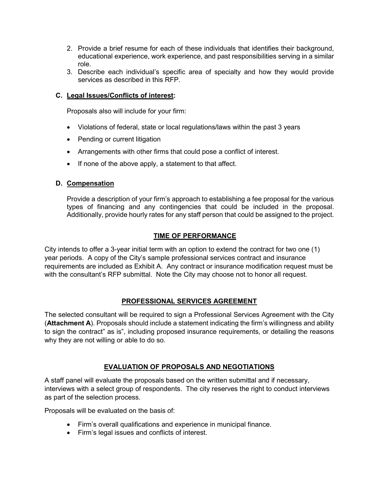- 2. Provide a brief resume for each of these individuals that identifies their background, educational experience, work experience, and past responsibilities serving in a similar role.
- 3. Describe each individual's specific area of specialty and how they would provide services as described in this RFP.

#### C. Legal Issues/Conflicts of interest:

Proposals also will include for your firm:

- Violations of federal, state or local regulations/laws within the past 3 years
- Pending or current litigation
- Arrangements with other firms that could pose a conflict of interest.
- If none of the above apply, a statement to that affect.

#### D. Compensation

Provide a description of your firm's approach to establishing a fee proposal for the various types of financing and any contingencies that could be included in the proposal. Additionally, provide hourly rates for any staff person that could be assigned to the project.

#### TIME OF PERFORMANCE

City intends to offer a 3-year initial term with an option to extend the contract for two one (1) year periods. A copy of the City's sample professional services contract and insurance requirements are included as Exhibit A. Any contract or insurance modification request must be with the consultant's RFP submittal. Note the City may choose not to honor all request.

#### PROFESSIONAL SERVICES AGREEMENT

The selected consultant will be required to sign a Professional Services Agreement with the City (Attachment A). Proposals should include a statement indicating the firm's willingness and ability to sign the contract" as is", including proposed insurance requirements, or detailing the reasons why they are not willing or able to do so.

#### EVALUATION OF PROPOSALS AND NEGOTIATIONS

A staff panel will evaluate the proposals based on the written submittal and if necessary, interviews with a select group of respondents. The city reserves the right to conduct interviews as part of the selection process.

Proposals will be evaluated on the basis of:

- Firm's overall qualifications and experience in municipal finance.
- Firm's legal issues and conflicts of interest.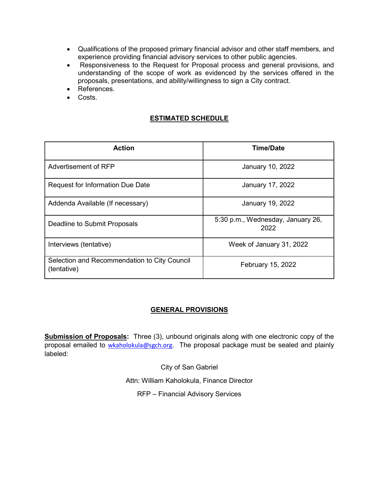- Qualifications of the proposed primary financial advisor and other staff members, and experience providing financial advisory services to other public agencies.
- Responsiveness to the Request for Proposal process and general provisions, and understanding of the scope of work as evidenced by the services offered in the proposals, presentations, and ability/willingness to sign a City contract.
- References.
- Costs.

# ESTIMATED SCHEDULE

| <b>Action</b>                                               | <b>Time/Date</b>                          |
|-------------------------------------------------------------|-------------------------------------------|
| Advertisement of RFP                                        | January 10, 2022                          |
| <b>Request for Information Due Date</b>                     | January 17, 2022                          |
| Addenda Available (If necessary)                            | January 19, 2022                          |
| Deadline to Submit Proposals                                | 5:30 p.m., Wednesday, January 26,<br>2022 |
| Interviews (tentative)                                      | Week of January 31, 2022                  |
| Selection and Recommendation to City Council<br>(tentative) | February 15, 2022                         |

# GENERAL PROVISIONS

**Submission of Proposals:** Three (3), unbound originals along with one electronic copy of the proposal emailed to wkaholokula@sgch.org. The proposal package must be sealed and plainly labeled:

City of San Gabriel

Attn: William Kaholokula, Finance Director

RFP – Financial Advisory Services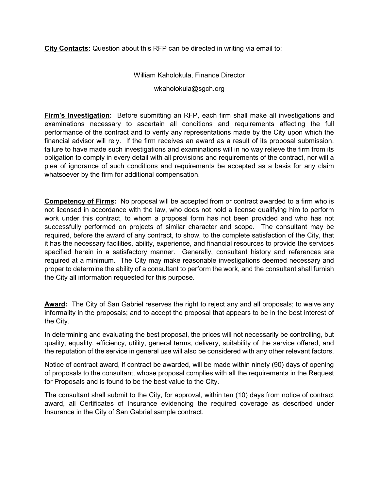City Contacts: Question about this RFP can be directed in writing via email to:

#### William Kaholokula, Finance Director

wkaholokula@sgch.org

Firm's Investigation: Before submitting an RFP, each firm shall make all investigations and examinations necessary to ascertain all conditions and requirements affecting the full performance of the contract and to verify any representations made by the City upon which the financial advisor will rely. If the firm receives an award as a result of its proposal submission, failure to have made such investigations and examinations will in no way relieve the firm from its obligation to comply in every detail with all provisions and requirements of the contract, nor will a plea of ignorance of such conditions and requirements be accepted as a basis for any claim whatsoever by the firm for additional compensation.

Competency of Firms: No proposal will be accepted from or contract awarded to a firm who is not licensed in accordance with the law, who does not hold a license qualifying him to perform work under this contract, to whom a proposal form has not been provided and who has not successfully performed on projects of similar character and scope. The consultant may be required, before the award of any contract, to show, to the complete satisfaction of the City, that it has the necessary facilities, ability, experience, and financial resources to provide the services specified herein in a satisfactory manner. Generally, consultant history and references are required at a minimum. The City may make reasonable investigations deemed necessary and proper to determine the ability of a consultant to perform the work, and the consultant shall furnish the City all information requested for this purpose.

Award: The City of San Gabriel reserves the right to reject any and all proposals; to waive any informality in the proposals; and to accept the proposal that appears to be in the best interest of the City.

In determining and evaluating the best proposal, the prices will not necessarily be controlling, but quality, equality, efficiency, utility, general terms, delivery, suitability of the service offered, and the reputation of the service in general use will also be considered with any other relevant factors.

Notice of contract award, if contract be awarded, will be made within ninety (90) days of opening of proposals to the consultant, whose proposal complies with all the requirements in the Request for Proposals and is found to be the best value to the City.

The consultant shall submit to the City, for approval, within ten (10) days from notice of contract award, all Certificates of Insurance evidencing the required coverage as described under Insurance in the City of San Gabriel sample contract.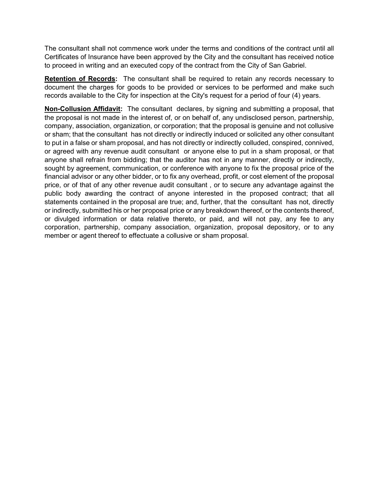The consultant shall not commence work under the terms and conditions of the contract until all Certificates of Insurance have been approved by the City and the consultant has received notice to proceed in writing and an executed copy of the contract from the City of San Gabriel.

Retention of Records: The consultant shall be required to retain any records necessary to document the charges for goods to be provided or services to be performed and make such records available to the City for inspection at the City's request for a period of four (4) years.

Non-Collusion Affidavit: The consultant declares, by signing and submitting a proposal, that the proposal is not made in the interest of, or on behalf of, any undisclosed person, partnership, company, association, organization, or corporation; that the proposal is genuine and not collusive or sham; that the consultant has not directly or indirectly induced or solicited any other consultant to put in a false or sham proposal, and has not directly or indirectly colluded, conspired, connived, or agreed with any revenue audit consultant or anyone else to put in a sham proposal, or that anyone shall refrain from bidding; that the auditor has not in any manner, directly or indirectly, sought by agreement, communication, or conference with anyone to fix the proposal price of the financial advisor or any other bidder, or to fix any overhead, profit, or cost element of the proposal price, or of that of any other revenue audit consultant , or to secure any advantage against the public body awarding the contract of anyone interested in the proposed contract; that all statements contained in the proposal are true; and, further, that the consultant has not, directly or indirectly, submitted his or her proposal price or any breakdown thereof, or the contents thereof, or divulged information or data relative thereto, or paid, and will not pay, any fee to any corporation, partnership, company association, organization, proposal depository, or to any member or agent thereof to effectuate a collusive or sham proposal.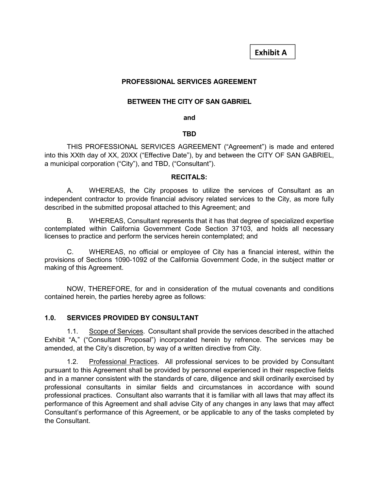Exhibit A

# PROFESSIONAL SERVICES AGREEMENT

#### BETWEEN THE CITY OF SAN GABRIEL

and the contract of the contract of the contract of the contract of the contract of the contract of the contract of the contract of the contract of the contract of the contract of the contract of the contract of the contra

#### the contract of the contract of the contract of the contract of the contract of the contract of the contract o

 THIS PROFESSIONAL SERVICES AGREEMENT ("Agreement") is made and entered into this XXth day of XX, 20XX ("Effective Date"), by and between the CITY OF SAN GABRIEL, a municipal corporation ("City"), and TBD, ("Consultant").

#### RECITALS:

 A. WHEREAS, the City proposes to utilize the services of Consultant as an independent contractor to provide financial advisory related services to the City, as more fully described in the submitted proposal attached to this Agreement; and

 B. WHEREAS, Consultant represents that it has that degree of specialized expertise contemplated within California Government Code Section 37103, and holds all necessary licenses to practice and perform the services herein contemplated; and

 C. WHEREAS, no official or employee of City has a financial interest, within the provisions of Sections 1090-1092 of the California Government Code, in the subject matter or making of this Agreement.

 NOW, THEREFORE, for and in consideration of the mutual covenants and conditions contained herein, the parties hereby agree as follows:

#### 1.0. SERVICES PROVIDED BY CONSULTANT

 1.1. Scope of Services. Consultant shall provide the services described in the attached Exhibit "A," ("Consultant Proposal") incorporated herein by refrence. The services may be amended, at the City's discretion, by way of a written directive from City.

 1.2. Professional Practices. All professional services to be provided by Consultant pursuant to this Agreement shall be provided by personnel experienced in their respective fields and in a manner consistent with the standards of care, diligence and skill ordinarily exercised by professional consultants in similar fields and circumstances in accordance with sound professional practices. Consultant also warrants that it is familiar with all laws that may affect its performance of this Agreement and shall advise City of any changes in any laws that may affect Consultant's performance of this Agreement, or be applicable to any of the tasks completed by the Consultant.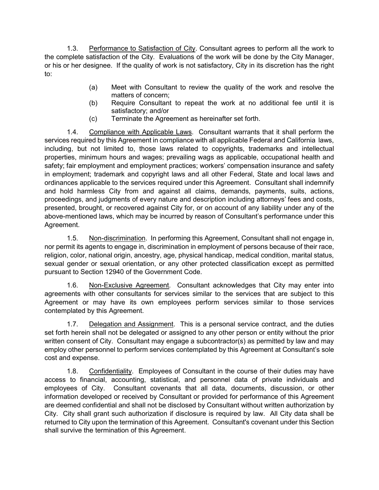1.3. Performance to Satisfaction of City. Consultant agrees to perform all the work to the complete satisfaction of the City. Evaluations of the work will be done by the City Manager, or his or her designee. If the quality of work is not satisfactory, City in its discretion has the right to:

- (a) Meet with Consultant to review the quality of the work and resolve the matters of concern;
- (b) Require Consultant to repeat the work at no additional fee until it is satisfactory; and/or
- (c) Terminate the Agreement as hereinafter set forth.

 1.4. Compliance with Applicable Laws. Consultant warrants that it shall perform the services required by this Agreement in compliance with all applicable Federal and California laws, including, but not limited to, those laws related to copyrights, trademarks and intellectual properties, minimum hours and wages; prevailing wags as applicable, occupational health and safety; fair employment and employment practices; workers' compensation insurance and safety in employment; trademark and copyright laws and all other Federal, State and local laws and ordinances applicable to the services required under this Agreement. Consultant shall indemnify and hold harmless City from and against all claims, demands, payments, suits, actions, proceedings, and judgments of every nature and description including attorneys' fees and costs, presented, brought, or recovered against City for, or on account of any liability under any of the above-mentioned laws, which may be incurred by reason of Consultant's performance under this Agreement.

 1.5. Non-discrimination. In performing this Agreement, Consultant shall not engage in, nor permit its agents to engage in, discrimination in employment of persons because of their race, religion, color, national origin, ancestry, age, physical handicap, medical condition, marital status, sexual gender or sexual orientation, or any other protected classification except as permitted pursuant to Section 12940 of the Government Code.

 1.6. Non-Exclusive Agreement. Consultant acknowledges that City may enter into agreements with other consultants for services similar to the services that are subject to this Agreement or may have its own employees perform services similar to those services contemplated by this Agreement.

 1.7. Delegation and Assignment. This is a personal service contract, and the duties set forth herein shall not be delegated or assigned to any other person or entity without the prior written consent of City. Consultant may engage a subcontractor(s) as permitted by law and may employ other personnel to perform services contemplated by this Agreement at Consultant's sole cost and expense.

1.8. Confidentiality. Employees of Consultant in the course of their duties may have access to financial, accounting, statistical, and personnel data of private individuals and employees of City. Consultant covenants that all data, documents, discussion, or other information developed or received by Consultant or provided for performance of this Agreement are deemed confidential and shall not be disclosed by Consultant without written authorization by City. City shall grant such authorization if disclosure is required by law. All City data shall be returned to City upon the termination of this Agreement. Consultant's covenant under this Section shall survive the termination of this Agreement.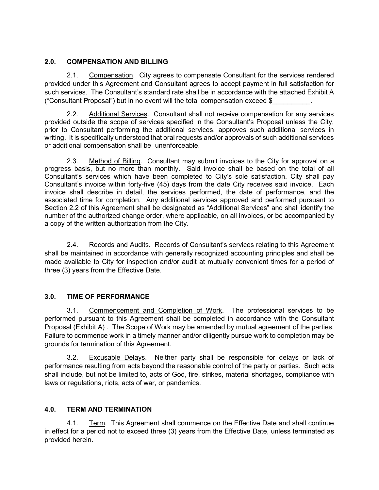# 2.0. COMPENSATION AND BILLING

 2.1. Compensation. City agrees to compensate Consultant for the services rendered provided under this Agreement and Consultant agrees to accept payment in full satisfaction for such services. The Consultant's standard rate shall be in accordance with the attached Exhibit A ("Consultant Proposal") but in no event will the total compensation exceed \$\_\_\_\_\_\_\_\_\_\_.

 2.2. Additional Services. Consultant shall not receive compensation for any services provided outside the scope of services specified in the Consultant's Proposal unless the City, prior to Consultant performing the additional services, approves such additional services in writing. It is specifically understood that oral requests and/or approvals of such additional services or additional compensation shall be unenforceable.

 2.3. Method of Billing. Consultant may submit invoices to the City for approval on a progress basis, but no more than monthly. Said invoice shall be based on the total of all Consultant's services which have been completed to City's sole satisfaction. City shall pay Consultant's invoice within forty-five (45) days from the date City receives said invoice. Each invoice shall describe in detail, the services performed, the date of performance, and the associated time for completion. Any additional services approved and performed pursuant to Section 2.2 of this Agreement shall be designated as "Additional Services" and shall identify the number of the authorized change order, where applicable, on all invoices, or be accompanied by a copy of the written authorization from the City.

2.4. Records and Audits. Records of Consultant's services relating to this Agreement shall be maintained in accordance with generally recognized accounting principles and shall be made available to City for inspection and/or audit at mutually convenient times for a period of three (3) years from the Effective Date.

#### 3.0. TIME OF PERFORMANCE

 3.1. Commencement and Completion of Work. The professional services to be performed pursuant to this Agreement shall be completed in accordance with the Consultant Proposal (Exhibit A) . The Scope of Work may be amended by mutual agreement of the parties. Failure to commence work in a timely manner and/or diligently pursue work to completion may be grounds for termination of this Agreement.

 3.2. Excusable Delays. Neither party shall be responsible for delays or lack of performance resulting from acts beyond the reasonable control of the party or parties. Such acts shall include, but not be limited to, acts of God, fire, strikes, material shortages, compliance with laws or regulations, riots, acts of war, or pandemics.

# 4.0. TERM AND TERMINATION

 4.1. Term. This Agreement shall commence on the Effective Date and shall continue in effect for a period not to exceed three (3) years from the Effective Date, unless terminated as provided herein.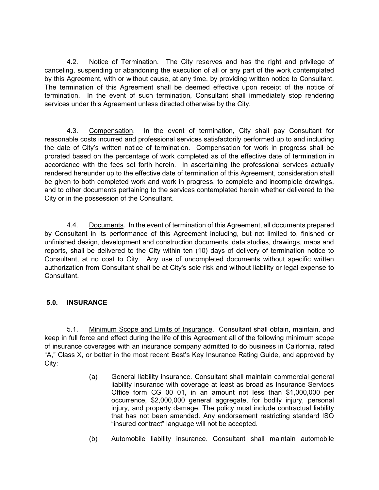4.2. Notice of Termination. The City reserves and has the right and privilege of canceling, suspending or abandoning the execution of all or any part of the work contemplated by this Agreement, with or without cause, at any time, by providing written notice to Consultant. The termination of this Agreement shall be deemed effective upon receipt of the notice of termination. In the event of such termination, Consultant shall immediately stop rendering services under this Agreement unless directed otherwise by the City.

 4.3. Compensation. In the event of termination, City shall pay Consultant for reasonable costs incurred and professional services satisfactorily performed up to and including the date of City's written notice of termination. Compensation for work in progress shall be prorated based on the percentage of work completed as of the effective date of termination in accordance with the fees set forth herein. In ascertaining the professional services actually rendered hereunder up to the effective date of termination of this Agreement, consideration shall be given to both completed work and work in progress, to complete and incomplete drawings, and to other documents pertaining to the services contemplated herein whether delivered to the City or in the possession of the Consultant.

 4.4. Documents. In the event of termination of this Agreement, all documents prepared by Consultant in its performance of this Agreement including, but not limited to, finished or unfinished design, development and construction documents, data studies, drawings, maps and reports, shall be delivered to the City within ten (10) days of delivery of termination notice to Consultant, at no cost to City. Any use of uncompleted documents without specific written authorization from Consultant shall be at City's sole risk and without liability or legal expense to Consultant.

# 5.0. INSURANCE

 5.1. Minimum Scope and Limits of Insurance. Consultant shall obtain, maintain, and keep in full force and effect during the life of this Agreement all of the following minimum scope of insurance coverages with an insurance company admitted to do business in California, rated "A," Class X, or better in the most recent Best's Key Insurance Rating Guide, and approved by City:

- (a) General liability insurance. Consultant shall maintain commercial general liability insurance with coverage at least as broad as Insurance Services Office form CG 00 01, in an amount not less than \$1,000,000 per occurrence, \$2,000,000 general aggregate, for bodily injury, personal injury, and property damage. The policy must include contractual liability that has not been amended. Any endorsement restricting standard ISO "insured contract" language will not be accepted.
- (b) Automobile liability insurance. Consultant shall maintain automobile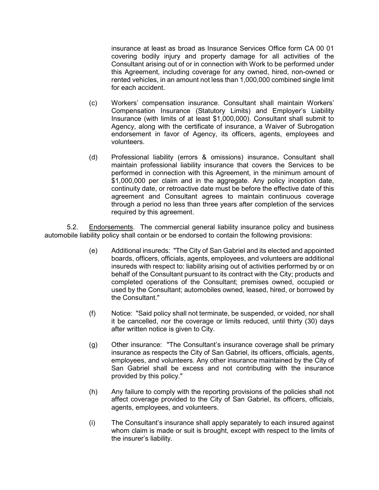insurance at least as broad as Insurance Services Office form CA 00 01 covering bodily injury and property damage for all activities of the Consultant arising out of or in connection with Work to be performed under this Agreement, including coverage for any owned, hired, non-owned or rented vehicles, in an amount not less than 1,000,000 combined single limit for each accident.

- (c) Workers' compensation insurance. Consultant shall maintain Workers' Compensation Insurance (Statutory Limits) and Employer's Liability Insurance (with limits of at least \$1,000,000). Consultant shall submit to Agency, along with the certificate of insurance, a Waiver of Subrogation endorsement in favor of Agency, its officers, agents, employees and volunteers.
- (d) Professional liability (errors & omissions) insurance. Consultant shall maintain professional liability insurance that covers the Services to be performed in connection with this Agreement, in the minimum amount of \$1,000,000 per claim and in the aggregate. Any policy inception date, continuity date, or retroactive date must be before the effective date of this agreement and Consultant agrees to maintain continuous coverage through a period no less than three years after completion of the services required by this agreement.

5.2. Endorsements. The commercial general liability insurance policy and business automobile liability policy shall contain or be endorsed to contain the following provisions:

- (e) Additional insureds: "The City of San Gabriel and its elected and appointed boards, officers, officials, agents, employees, and volunteers are additional insureds with respect to: liability arising out of activities performed by or on behalf of the Consultant pursuant to its contract with the City; products and completed operations of the Consultant; premises owned, occupied or used by the Consultant; automobiles owned, leased, hired, or borrowed by the Consultant."
- (f) Notice: "Said policy shall not terminate, be suspended, or voided, nor shall it be cancelled, nor the coverage or limits reduced, until thirty (30) days after written notice is given to City.
- (g) Other insurance: "The Consultant's insurance coverage shall be primary insurance as respects the City of San Gabriel, its officers, officials, agents, employees, and volunteers. Any other insurance maintained by the City of San Gabriel shall be excess and not contributing with the insurance provided by this policy."
- (h) Any failure to comply with the reporting provisions of the policies shall not affect coverage provided to the City of San Gabriel, its officers, officials, agents, employees, and volunteers.
- (i) The Consultant's insurance shall apply separately to each insured against whom claim is made or suit is brought, except with respect to the limits of the insurer's liability.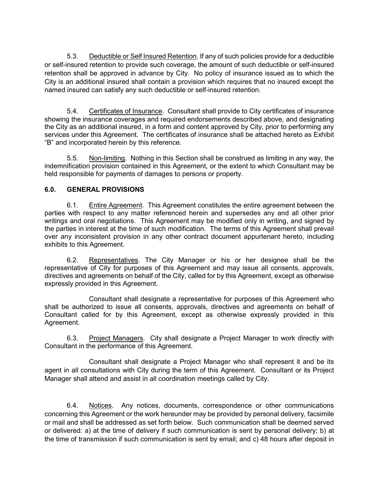5.3. Deductible or Self Insured Retention. If any of such policies provide for a deductible or self-insured retention to provide such coverage, the amount of such deductible or self-insured retention shall be approved in advance by City. No policy of insurance issued as to which the City is an additional insured shall contain a provision which requires that no insured except the named insured can satisfy any such deductible or self-insured retention.

 5.4. Certificates of Insurance. Consultant shall provide to City certificates of insurance showing the insurance coverages and required endorsements described above, and designating the City as an additional insured, in a form and content approved by City, prior to performing any services under this Agreement. The certificates of insurance shall be attached hereto as Exhibit "B" and incorporated herein by this reference.

 5.5. Non-limiting. Nothing in this Section shall be construed as limiting in any way, the indemnification provision contained in this Agreement, or the extent to which Consultant may be held responsible for payments of damages to persons or property.

### 6.0. GENERAL PROVISIONS

 6.1. Entire Agreement. This Agreement constitutes the entire agreement between the parties with respect to any matter referenced herein and supersedes any and all other prior writings and oral negotiations. This Agreement may be modified only in writing, and signed by the parties in interest at the time of such modification. The terms of this Agreement shall prevail over any inconsistent provision in any other contract document appurtenant hereto, including exhibits to this Agreement.

 6.2. Representatives. The City Manager or his or her designee shall be the representative of City for purposes of this Agreement and may issue all consents, approvals, directives and agreements on behalf of the City, called for by this Agreement, except as otherwise expressly provided in this Agreement.

 Consultant shall designate a representative for purposes of this Agreement who shall be authorized to issue all consents, approvals, directives and agreements on behalf of Consultant called for by this Agreement, except as otherwise expressly provided in this Agreement.

 6.3. Project Managers. City shall designate a Project Manager to work directly with Consultant in the performance of this Agreement.

 Consultant shall designate a Project Manager who shall represent it and be its agent in all consultations with City during the term of this Agreement. Consultant or its Project Manager shall attend and assist in all coordination meetings called by City.

 6.4. Notices. Any notices, documents, correspondence or other communications concerning this Agreement or the work hereunder may be provided by personal delivery, facsimile or mail and shall be addressed as set forth below. Such communication shall be deemed served or delivered: a) at the time of delivery if such communication is sent by personal delivery; b) at the time of transmission if such communication is sent by email; and c) 48 hours after deposit in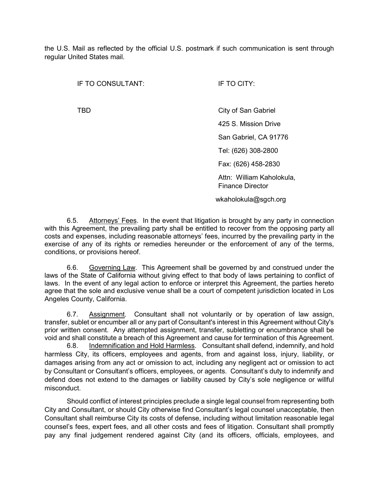the U.S. Mail as reflected by the official U.S. postmark if such communication is sent through regular United States mail.

IF TO CONSULTANT: IF TO CITY:

TBD City of San Gabriel 425 S. Mission Drive San Gabriel, CA 91776 Tel: (626) 308-2800 Fax: (626) 458-2830 Attn: William Kaholokula, Finance Director wkaholokula@sgch.org

 6.5. Attorneys' Fees. In the event that litigation is brought by any party in connection with this Agreement, the prevailing party shall be entitled to recover from the opposing party all costs and expenses, including reasonable attorneys' fees, incurred by the prevailing party in the exercise of any of its rights or remedies hereunder or the enforcement of any of the terms, conditions, or provisions hereof.

 6.6. Governing Law. This Agreement shall be governed by and construed under the laws of the State of California without giving effect to that body of laws pertaining to conflict of laws. In the event of any legal action to enforce or interpret this Agreement, the parties hereto agree that the sole and exclusive venue shall be a court of competent jurisdiction located in Los Angeles County, California.

 6.7. Assignment. Consultant shall not voluntarily or by operation of law assign, transfer, sublet or encumber all or any part of Consultant's interest in this Agreement without City's prior written consent. Any attempted assignment, transfer, subletting or encumbrance shall be void and shall constitute a breach of this Agreement and cause for termination of this Agreement.

6.8. Indemnification and Hold Harmless. Consultant shall defend, indemnify, and hold harmless City, its officers, employees and agents, from and against loss, injury, liability, or damages arising from any act or omission to act, including any negligent act or omission to act by Consultant or Consultant's officers, employees, or agents. Consultant's duty to indemnify and defend does not extend to the damages or liability caused by City's sole negligence or willful misconduct.

Should conflict of interest principles preclude a single legal counsel from representing both City and Consultant, or should City otherwise find Consultant's legal counsel unacceptable, then Consultant shall reimburse City its costs of defense, including without limitation reasonable legal counsel's fees, expert fees, and all other costs and fees of litigation. Consultant shall promptly pay any final judgement rendered against City (and its officers, officials, employees, and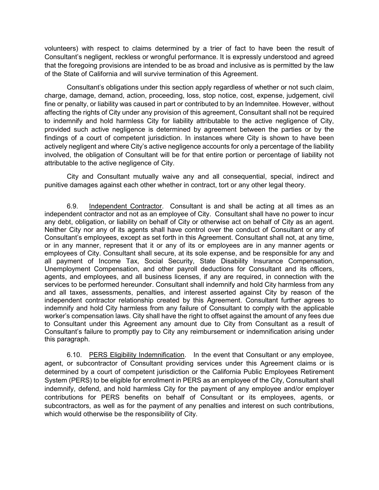volunteers) with respect to claims determined by a trier of fact to have been the result of Consultant's negligent, reckless or wrongful performance. It is expressly understood and agreed that the foregoing provisions are intended to be as broad and inclusive as is permitted by the law of the State of California and will survive termination of this Agreement.

Consultant's obligations under this section apply regardless of whether or not such claim, charge, damage, demand, action, proceeding, loss, stop notice, cost, expense, judgement, civil fine or penalty, or liability was caused in part or contributed to by an Indemnitee. However, without affecting the rights of City under any provision of this agreement, Consultant shall not be required to indemnify and hold harmless City for liability attributable to the active negligence of City, provided such active negligence is determined by agreement between the parties or by the findings of a court of competent jurisdiction. In instances where City is shown to have been actively negligent and where City's active negligence accounts for only a percentage of the liability involved, the obligation of Consultant will be for that entire portion or percentage of liability not attributable to the active negligence of City.

City and Consultant mutually waive any and all consequential, special, indirect and punitive damages against each other whether in contract, tort or any other legal theory.

 6.9. Independent Contractor. Consultant is and shall be acting at all times as an independent contractor and not as an employee of City. Consultant shall have no power to incur any debt, obligation, or liability on behalf of City or otherwise act on behalf of City as an agent. Neither City nor any of its agents shall have control over the conduct of Consultant or any of Consultant's employees, except as set forth in this Agreement. Consultant shall not, at any time, or in any manner, represent that it or any of its or employees are in any manner agents or employees of City. Consultant shall secure, at its sole expense, and be responsible for any and all payment of Income Tax, Social Security, State Disability Insurance Compensation, Unemployment Compensation, and other payroll deductions for Consultant and its officers, agents, and employees, and all business licenses, if any are required, in connection with the services to be performed hereunder. Consultant shall indemnify and hold City harmless from any and all taxes, assessments, penalties, and interest asserted against City by reason of the independent contractor relationship created by this Agreement. Consultant further agrees to indemnify and hold City harmless from any failure of Consultant to comply with the applicable worker's compensation laws. City shall have the right to offset against the amount of any fees due to Consultant under this Agreement any amount due to City from Consultant as a result of Consultant's failure to promptly pay to City any reimbursement or indemnification arising under this paragraph.

6.10. PERS Eligibility Indemnification. In the event that Consultant or any employee, agent, or subcontractor of Consultant providing services under this Agreement claims or is determined by a court of competent jurisdiction or the California Public Employees Retirement System (PERS) to be eligible for enrollment in PERS as an employee of the City, Consultant shall indemnify, defend, and hold harmless City for the payment of any employee and/or employer contributions for PERS benefits on behalf of Consultant or its employees, agents, or subcontractors, as well as for the payment of any penalties and interest on such contributions, which would otherwise be the responsibility of City.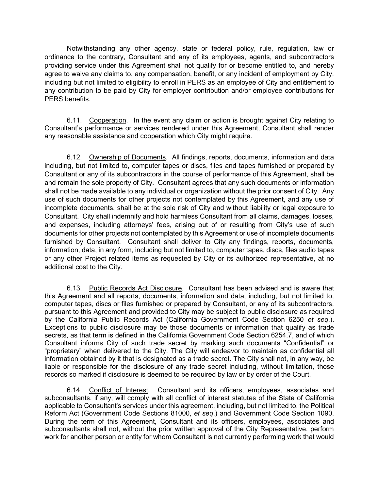Notwithstanding any other agency, state or federal policy, rule, regulation, law or ordinance to the contrary, Consultant and any of its employees, agents, and subcontractors providing service under this Agreement shall not qualify for or become entitled to, and hereby agree to waive any claims to, any compensation, benefit, or any incident of employment by City, including but not limited to eligibility to enroll in PERS as an employee of City and entitlement to any contribution to be paid by City for employer contribution and/or employee contributions for PERS benefits.

 6.11. Cooperation. In the event any claim or action is brought against City relating to Consultant's performance or services rendered under this Agreement, Consultant shall render any reasonable assistance and cooperation which City might require.

6.12. Ownership of Documents. All findings, reports, documents, information and data including, but not limited to, computer tapes or discs, files and tapes furnished or prepared by Consultant or any of its subcontractors in the course of performance of this Agreement, shall be and remain the sole property of City. Consultant agrees that any such documents or information shall not be made available to any individual or organization without the prior consent of City. Any use of such documents for other projects not contemplated by this Agreement, and any use of incomplete documents, shall be at the sole risk of City and without liability or legal exposure to Consultant. City shall indemnify and hold harmless Consultant from all claims, damages, losses, and expenses, including attorneys' fees, arising out of or resulting from City's use of such documents for other projects not contemplated by this Agreement or use of incomplete documents furnished by Consultant. Consultant shall deliver to City any findings, reports, documents, information, data, in any form, including but not limited to, computer tapes, discs, files audio tapes or any other Project related items as requested by City or its authorized representative, at no additional cost to the City.

 6.13. Public Records Act Disclosure. Consultant has been advised and is aware that this Agreement and all reports, documents, information and data, including, but not limited to, computer tapes, discs or files furnished or prepared by Consultant, or any of its subcontractors, pursuant to this Agreement and provided to City may be subject to public disclosure as required by the California Public Records Act (California Government Code Section 6250 et seq.). Exceptions to public disclosure may be those documents or information that qualify as trade secrets, as that term is defined in the California Government Code Section 6254.7, and of which Consultant informs City of such trade secret by marking such documents "Confidential" or "proprietary" when delivered to the City. The City will endeavor to maintain as confidential all information obtained by it that is designated as a trade secret. The City shall not, in any way, be liable or responsible for the disclosure of any trade secret including, without limitation, those records so marked if disclosure is deemed to be required by law or by order of the Court.

6.14. Conflict of Interest. Consultant and its officers, employees, associates and subconsultants, if any, will comply with all conflict of interest statutes of the State of California applicable to Consultant's services under this agreement, including, but not limited to, the Political Reform Act (Government Code Sections 81000, et seq.) and Government Code Section 1090. During the term of this Agreement, Consultant and its officers, employees, associates and subconsultants shall not, without the prior written approval of the City Representative, perform work for another person or entity for whom Consultant is not currently performing work that would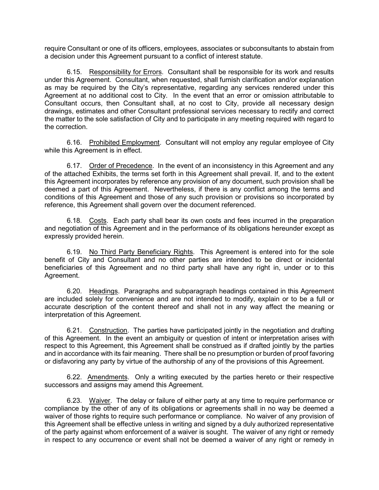require Consultant or one of its officers, employees, associates or subconsultants to abstain from a decision under this Agreement pursuant to a conflict of interest statute.

 6.15. Responsibility for Errors. Consultant shall be responsible for its work and results under this Agreement. Consultant, when requested, shall furnish clarification and/or explanation as may be required by the City's representative, regarding any services rendered under this Agreement at no additional cost to City. In the event that an error or omission attributable to Consultant occurs, then Consultant shall, at no cost to City, provide all necessary design drawings, estimates and other Consultant professional services necessary to rectify and correct the matter to the sole satisfaction of City and to participate in any meeting required with regard to the correction.

 6.16. Prohibited Employment. Consultant will not employ any regular employee of City while this Agreement is in effect.

 6.17. Order of Precedence. In the event of an inconsistency in this Agreement and any of the attached Exhibits, the terms set forth in this Agreement shall prevail. If, and to the extent this Agreement incorporates by reference any provision of any document, such provision shall be deemed a part of this Agreement. Nevertheless, if there is any conflict among the terms and conditions of this Agreement and those of any such provision or provisions so incorporated by reference, this Agreement shall govern over the document referenced.

 6.18. Costs. Each party shall bear its own costs and fees incurred in the preparation and negotiation of this Agreement and in the performance of its obligations hereunder except as expressly provided herein.

6.19. No Third Party Beneficiary Rights. This Agreement is entered into for the sole benefit of City and Consultant and no other parties are intended to be direct or incidental beneficiaries of this Agreement and no third party shall have any right in, under or to this Agreement.

 6.20. Headings. Paragraphs and subparagraph headings contained in this Agreement are included solely for convenience and are not intended to modify, explain or to be a full or accurate description of the content thereof and shall not in any way affect the meaning or interpretation of this Agreement.

 6.21. Construction. The parties have participated jointly in the negotiation and drafting of this Agreement. In the event an ambiguity or question of intent or interpretation arises with respect to this Agreement, this Agreement shall be construed as if drafted jointly by the parties and in accordance with its fair meaning. There shall be no presumption or burden of proof favoring or disfavoring any party by virtue of the authorship of any of the provisions of this Agreement.

 6.22. Amendments. Only a writing executed by the parties hereto or their respective successors and assigns may amend this Agreement.

 6.23. Waiver. The delay or failure of either party at any time to require performance or compliance by the other of any of its obligations or agreements shall in no way be deemed a waiver of those rights to require such performance or compliance. No waiver of any provision of this Agreement shall be effective unless in writing and signed by a duly authorized representative of the party against whom enforcement of a waiver is sought. The waiver of any right or remedy in respect to any occurrence or event shall not be deemed a waiver of any right or remedy in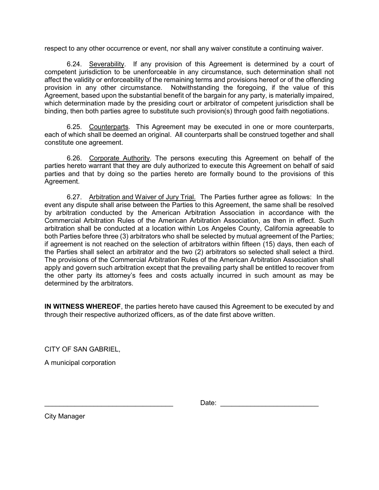respect to any other occurrence or event, nor shall any waiver constitute a continuing waiver.

 6.24. Severability. If any provision of this Agreement is determined by a court of competent jurisdiction to be unenforceable in any circumstance, such determination shall not affect the validity or enforceability of the remaining terms and provisions hereof or of the offending provision in any other circumstance. Notwithstanding the foregoing, if the value of this Agreement, based upon the substantial benefit of the bargain for any party, is materially impaired, which determination made by the presiding court or arbitrator of competent jurisdiction shall be binding, then both parties agree to substitute such provision(s) through good faith negotiations.

 6.25. Counterparts. This Agreement may be executed in one or more counterparts, each of which shall be deemed an original. All counterparts shall be construed together and shall constitute one agreement.

 6.26. Corporate Authority. The persons executing this Agreement on behalf of the parties hereto warrant that they are duly authorized to execute this Agreement on behalf of said parties and that by doing so the parties hereto are formally bound to the provisions of this Agreement.

 6.27. Arbitration and Waiver of Jury Trial. The Parties further agree as follows: In the event any dispute shall arise between the Parties to this Agreement, the same shall be resolved by arbitration conducted by the American Arbitration Association in accordance with the Commercial Arbitration Rules of the American Arbitration Association, as then in effect. Such arbitration shall be conducted at a location within Los Angeles County, California agreeable to both Parties before three (3) arbitrators who shall be selected by mutual agreement of the Parties; if agreement is not reached on the selection of arbitrators within fifteen (15) days, then each of the Parties shall select an arbitrator and the two (2) arbitrators so selected shall select a third. The provisions of the Commercial Arbitration Rules of the American Arbitration Association shall apply and govern such arbitration except that the prevailing party shall be entitled to recover from the other party its attorney's fees and costs actually incurred in such amount as may be determined by the arbitrators.

IN WITNESS WHEREOF, the parties hereto have caused this Agreement to be executed by and through their respective authorized officers, as of the date first above written.

CITY OF SAN GABRIEL,

A municipal corporation

\_\_\_\_\_\_\_\_\_\_\_\_\_\_\_\_\_\_\_\_\_\_\_\_\_\_\_\_\_\_\_\_\_\_ Date: \_\_\_\_\_\_\_\_\_\_\_\_\_\_\_\_\_\_\_\_\_\_\_\_\_\_

City Manager